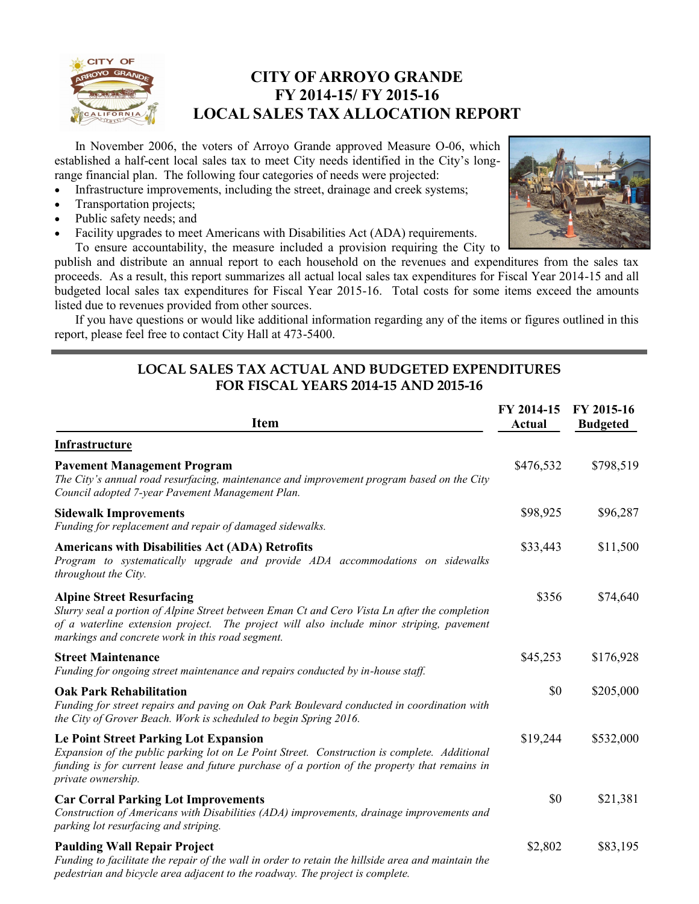

## **CITY OF ARROYO GRANDE FY 2014-15/ FY 2015-16 LOCAL SALES TAX ALLOCATION REPORT**

In November 2006, the voters of Arroyo Grande approved Measure O-06, which established a half-cent local sales tax to meet City needs identified in the City's longrange financial plan. The following four categories of needs were projected:

- Infrastructure improvements, including the street, drainage and creek systems;
- Transportation projects;
- Public safety needs; and
- Facility upgrades to meet Americans with Disabilities Act (ADA) requirements.



To ensure accountability, the measure included a provision requiring the City to publish and distribute an annual report to each household on the revenues and expenditures from the sales tax proceeds. As a result, this report summarizes all actual local sales tax expenditures for Fiscal Year 2014-15 and all budgeted local sales tax expenditures for Fiscal Year 2015-16. Total costs for some items exceed the amounts listed due to revenues provided from other sources.

If you have questions or would like additional information regarding any of the items or figures outlined in this report, please feel free to contact City Hall at 473-5400.

#### **LOCAL SALES TAX ACTUAL AND BUDGETED EXPENDITURES FOR FISCAL YEARS 2014-15 AND 2015-16**

| <b>Item</b>                                                                                                                                                                                                                                                                       | FY 2014-15<br><b>Actual</b> | FY 2015-16<br><b>Budgeted</b> |
|-----------------------------------------------------------------------------------------------------------------------------------------------------------------------------------------------------------------------------------------------------------------------------------|-----------------------------|-------------------------------|
| Infrastructure                                                                                                                                                                                                                                                                    |                             |                               |
| <b>Pavement Management Program</b><br>The City's annual road resurfacing, maintenance and improvement program based on the City<br>Council adopted 7-year Pavement Management Plan.                                                                                               | \$476,532                   | \$798,519                     |
| <b>Sidewalk Improvements</b><br>Funding for replacement and repair of damaged sidewalks.                                                                                                                                                                                          | \$98,925                    | \$96,287                      |
| <b>Americans with Disabilities Act (ADA) Retrofits</b><br>Program to systematically upgrade and provide ADA accommodations on sidewalks<br>throughout the City.                                                                                                                   | \$33,443                    | \$11,500                      |
| <b>Alpine Street Resurfacing</b><br>Slurry seal a portion of Alpine Street between Eman Ct and Cero Vista Ln after the completion<br>of a waterline extension project. The project will also include minor striping, pavement<br>markings and concrete work in this road segment. | \$356                       | \$74,640                      |
| <b>Street Maintenance</b><br>Funding for ongoing street maintenance and repairs conducted by in-house staff.                                                                                                                                                                      | \$45,253                    | \$176,928                     |
| <b>Oak Park Rehabilitation</b><br>Funding for street repairs and paving on Oak Park Boulevard conducted in coordination with<br>the City of Grover Beach. Work is scheduled to begin Spring 2016.                                                                                 | \$0                         | \$205,000                     |
| <b>Le Point Street Parking Lot Expansion</b><br>Expansion of the public parking lot on Le Point Street. Construction is complete. Additional<br>funding is for current lease and future purchase of a portion of the property that remains in<br>private ownership.               | \$19,244                    | \$532,000                     |
| <b>Car Corral Parking Lot Improvements</b><br>Construction of Americans with Disabilities (ADA) improvements, drainage improvements and<br>parking lot resurfacing and striping.                                                                                                  | \$0                         | \$21,381                      |
| <b>Paulding Wall Repair Project</b><br>Funding to facilitate the repair of the wall in order to retain the hillside area and maintain the<br>pedestrian and bicycle area adjacent to the roadway. The project is complete.                                                        | \$2,802                     | \$83,195                      |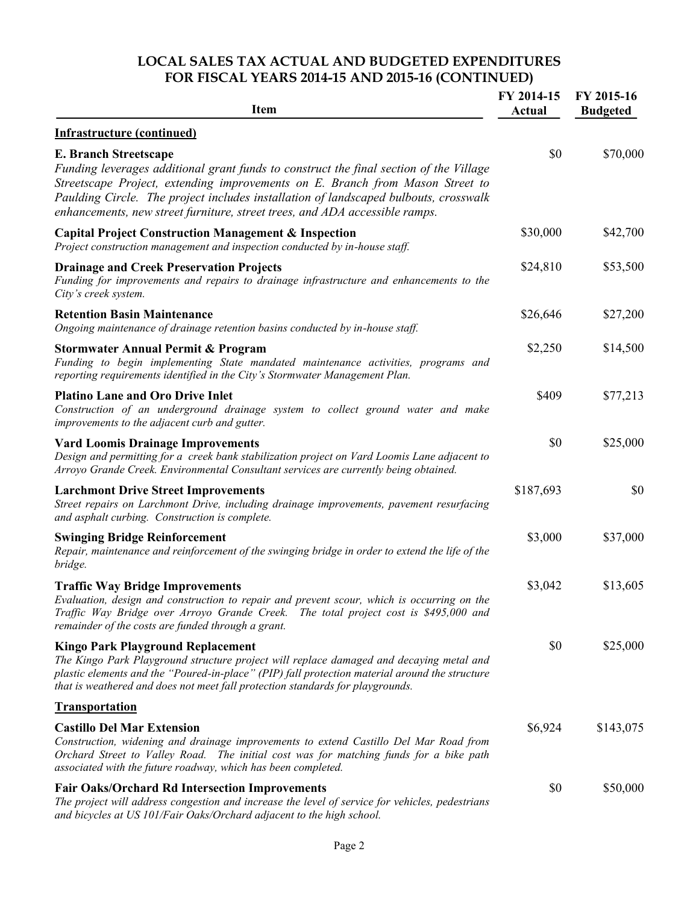### **LOCAL SALES TAX ACTUAL AND BUDGETED EXPENDITURES FOR FISCAL YEARS 2014-15 AND 2015-16 (CONTINUED)**

| <b>Item</b>                                                                                                                                                                                                                                                                                                                                                                    | FY 2014-15<br>Actual | FY 2015-16<br><b>Budgeted</b> |
|--------------------------------------------------------------------------------------------------------------------------------------------------------------------------------------------------------------------------------------------------------------------------------------------------------------------------------------------------------------------------------|----------------------|-------------------------------|
| <b>Infrastructure (continued)</b>                                                                                                                                                                                                                                                                                                                                              |                      |                               |
| <b>E. Branch Streetscape</b><br>Funding leverages additional grant funds to construct the final section of the Village<br>Streetscape Project, extending improvements on E. Branch from Mason Street to<br>Paulding Circle. The project includes installation of landscaped bulbouts, crosswalk<br>enhancements, new street furniture, street trees, and ADA accessible ramps. | \$0                  | \$70,000                      |
| <b>Capital Project Construction Management &amp; Inspection</b><br>Project construction management and inspection conducted by in-house staff.                                                                                                                                                                                                                                 | \$30,000             | \$42,700                      |
| <b>Drainage and Creek Preservation Projects</b><br>Funding for improvements and repairs to drainage infrastructure and enhancements to the<br>City's creek system.                                                                                                                                                                                                             | \$24,810             | \$53,500                      |
| <b>Retention Basin Maintenance</b><br>Ongoing maintenance of drainage retention basins conducted by in-house staff.                                                                                                                                                                                                                                                            | \$26,646             | \$27,200                      |
| <b>Stormwater Annual Permit &amp; Program</b><br>Funding to begin implementing State mandated maintenance activities, programs and<br>reporting requirements identified in the City's Stormwater Management Plan.                                                                                                                                                              | \$2,250              | \$14,500                      |
| <b>Platino Lane and Oro Drive Inlet</b><br>Construction of an underground drainage system to collect ground water and make<br>improvements to the adjacent curb and gutter.                                                                                                                                                                                                    | \$409                | \$77,213                      |
| <b>Vard Loomis Drainage Improvements</b><br>Design and permitting for a creek bank stabilization project on Vard Loomis Lane adjacent to<br>Arroyo Grande Creek. Environmental Consultant services are currently being obtained.                                                                                                                                               | \$0                  | \$25,000                      |
| <b>Larchmont Drive Street Improvements</b><br>Street repairs on Larchmont Drive, including drainage improvements, pavement resurfacing<br>and asphalt curbing. Construction is complete.                                                                                                                                                                                       | \$187,693            | \$0                           |
| <b>Swinging Bridge Reinforcement</b><br>Repair, maintenance and reinforcement of the swinging bridge in order to extend the life of the<br>bridge.                                                                                                                                                                                                                             | \$3,000              | \$37,000                      |
| <b>Traffic Way Bridge Improvements</b><br>Evaluation, design and construction to repair and prevent scour, which is occurring on the<br>Traffic Way Bridge over Arroyo Grande Creek. The total project cost is \$495,000 and<br>remainder of the costs are funded through a grant.                                                                                             | \$3,042              | \$13,605                      |
| <b>Kingo Park Playground Replacement</b><br>The Kingo Park Playground structure project will replace damaged and decaying metal and<br>plastic elements and the "Poured-in-place" (PIP) fall protection material around the structure<br>that is weathered and does not meet fall protection standards for playgrounds.                                                        | \$0                  | \$25,000                      |
| <b>Transportation</b>                                                                                                                                                                                                                                                                                                                                                          |                      |                               |
| <b>Castillo Del Mar Extension</b><br>Construction, widening and drainage improvements to extend Castillo Del Mar Road from<br>Orchard Street to Valley Road. The initial cost was for matching funds for a bike path<br>associated with the future roadway, which has been completed.                                                                                          | \$6,924              | \$143,075                     |
| <b>Fair Oaks/Orchard Rd Intersection Improvements</b><br>The project will address congestion and increase the level of service for vehicles, pedestrians<br>and bicycles at US 101/Fair Oaks/Orchard adjacent to the high school.                                                                                                                                              | \$0                  | \$50,000                      |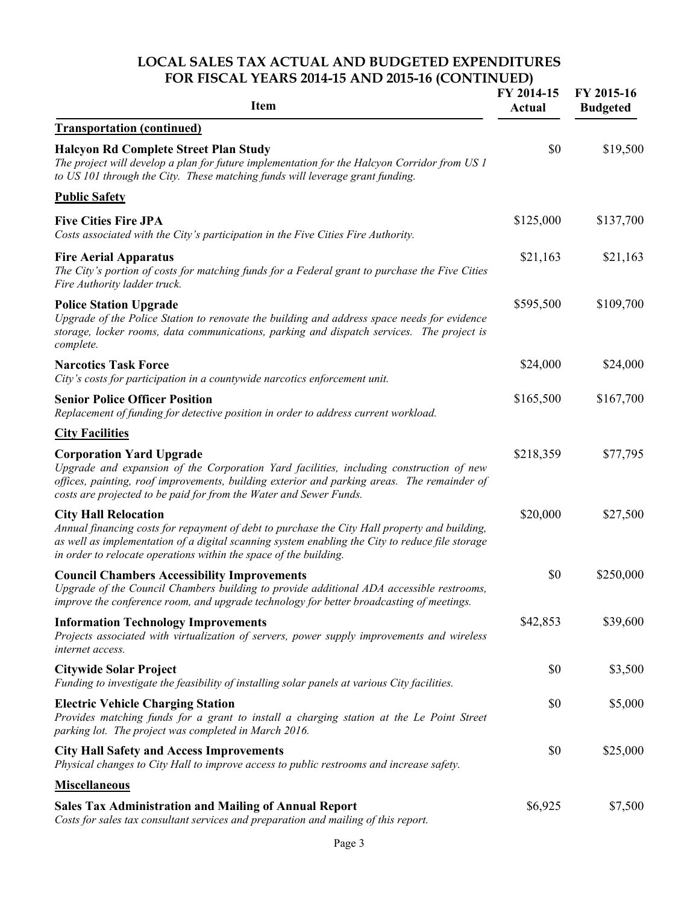#### **LOCAL SALES TAX ACTUAL AND BUDGETED EXPENDITURES FOR FISCAL YEARS 2014-15 AND 2015-16 (CONTINUED)**

| <b>Item</b>                                                                                                                                                                                                                                                                                          | FY 2014-15<br>Actual | FY 2015-16<br><b>Budgeted</b> |
|------------------------------------------------------------------------------------------------------------------------------------------------------------------------------------------------------------------------------------------------------------------------------------------------------|----------------------|-------------------------------|
| <b>Transportation (continued)</b>                                                                                                                                                                                                                                                                    |                      |                               |
| <b>Halcyon Rd Complete Street Plan Study</b><br>The project will develop a plan for future implementation for the Halcyon Corridor from US 1<br>to US 101 through the City. These matching funds will leverage grant funding.                                                                        | \$0                  | \$19,500                      |
| <b>Public Safety</b>                                                                                                                                                                                                                                                                                 |                      |                               |
| <b>Five Cities Fire JPA</b><br>Costs associated with the City's participation in the Five Cities Fire Authority.                                                                                                                                                                                     | \$125,000            | \$137,700                     |
| <b>Fire Aerial Apparatus</b><br>The City's portion of costs for matching funds for a Federal grant to purchase the Five Cities<br>Fire Authority ladder truck.                                                                                                                                       | \$21,163             | \$21,163                      |
| <b>Police Station Upgrade</b><br>Upgrade of the Police Station to renovate the building and address space needs for evidence<br>storage, locker rooms, data communications, parking and dispatch services. The project is<br>complete.                                                               | \$595,500            | \$109,700                     |
| <b>Narcotics Task Force</b><br>City's costs for participation in a countywide narcotics enforcement unit.                                                                                                                                                                                            | \$24,000             | \$24,000                      |
| <b>Senior Police Officer Position</b><br>Replacement of funding for detective position in order to address current workload.                                                                                                                                                                         | \$165,500            | \$167,700                     |
| <b>City Facilities</b>                                                                                                                                                                                                                                                                               |                      |                               |
| <b>Corporation Yard Upgrade</b><br>Upgrade and expansion of the Corporation Yard facilities, including construction of new<br>offices, painting, roof improvements, building exterior and parking areas. The remainder of<br>costs are projected to be paid for from the Water and Sewer Funds.      | \$218,359            | \$77,795                      |
| <b>City Hall Relocation</b><br>Annual financing costs for repayment of debt to purchase the City Hall property and building,<br>as well as implementation of a digital scanning system enabling the City to reduce file storage<br>in order to relocate operations within the space of the building. | \$20,000             | \$27,500                      |
| <b>Council Chambers Accessibility Improvements</b><br>Upgrade of the Council Chambers building to provide additional ADA accessible restrooms,<br>improve the conference room, and upgrade technology for better broadcasting of meetings.                                                           | \$0                  | \$250,000                     |
| <b>Information Technology Improvements</b><br>Projects associated with virtualization of servers, power supply improvements and wireless<br>internet access.                                                                                                                                         | \$42,853             | \$39,600                      |
| <b>Citywide Solar Project</b><br>Funding to investigate the feasibility of installing solar panels at various City facilities.                                                                                                                                                                       | \$0                  | \$3,500                       |
| <b>Electric Vehicle Charging Station</b><br>Provides matching funds for a grant to install a charging station at the Le Point Street<br>parking lot. The project was completed in March 2016.                                                                                                        | \$0                  | \$5,000                       |
| <b>City Hall Safety and Access Improvements</b><br>Physical changes to City Hall to improve access to public restrooms and increase safety.                                                                                                                                                          | \$0                  | \$25,000                      |
| <b>Miscellaneous</b>                                                                                                                                                                                                                                                                                 |                      |                               |
| <b>Sales Tax Administration and Mailing of Annual Report</b><br>Costs for sales tax consultant services and preparation and mailing of this report.                                                                                                                                                  | \$6,925              | \$7,500                       |